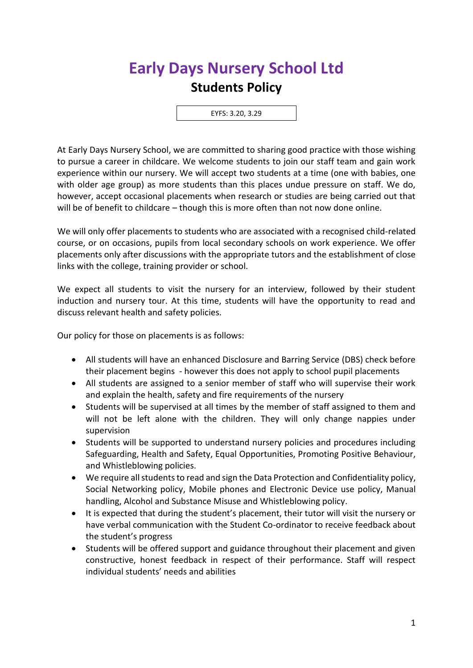## **Early Days Nursery School Ltd Students Policy**

EYFS: 3.20, 3.29

At Early Days Nursery School, we are committed to sharing good practice with those wishing to pursue a career in childcare. We welcome students to join our staff team and gain work experience within our nursery. We will accept two students at a time (one with babies, one with older age group) as more students than this places undue pressure on staff. We do, however, accept occasional placements when research or studies are being carried out that will be of benefit to childcare – though this is more often than not now done online.

We will only offer placements to students who are associated with a recognised child-related course, or on occasions, pupils from local secondary schools on work experience. We offer placements only after discussions with the appropriate tutors and the establishment of close links with the college, training provider or school.

We expect all students to visit the nursery for an interview, followed by their student induction and nursery tour. At this time, students will have the opportunity to read and discuss relevant health and safety policies.

Our policy for those on placements is as follows:

- All students will have an enhanced Disclosure and Barring Service (DBS) check before their placement begins - however this does not apply to school pupil placements
- All students are assigned to a senior member of staff who will supervise their work and explain the health, safety and fire requirements of the nursery
- Students will be supervised at all times by the member of staff assigned to them and will not be left alone with the children. They will only change nappies under supervision
- Students will be supported to understand nursery policies and procedures including Safeguarding, Health and Safety, Equal Opportunities, Promoting Positive Behaviour, and Whistleblowing policies.
- We require all students to read and sign the Data Protection and Confidentiality policy, Social Networking policy, Mobile phones and Electronic Device use policy, Manual handling, Alcohol and Substance Misuse and Whistleblowing policy.
- It is expected that during the student's placement, their tutor will visit the nursery or have verbal communication with the Student Co-ordinator to receive feedback about the student's progress
- Students will be offered support and guidance throughout their placement and given constructive, honest feedback in respect of their performance. Staff will respect individual students' needs and abilities